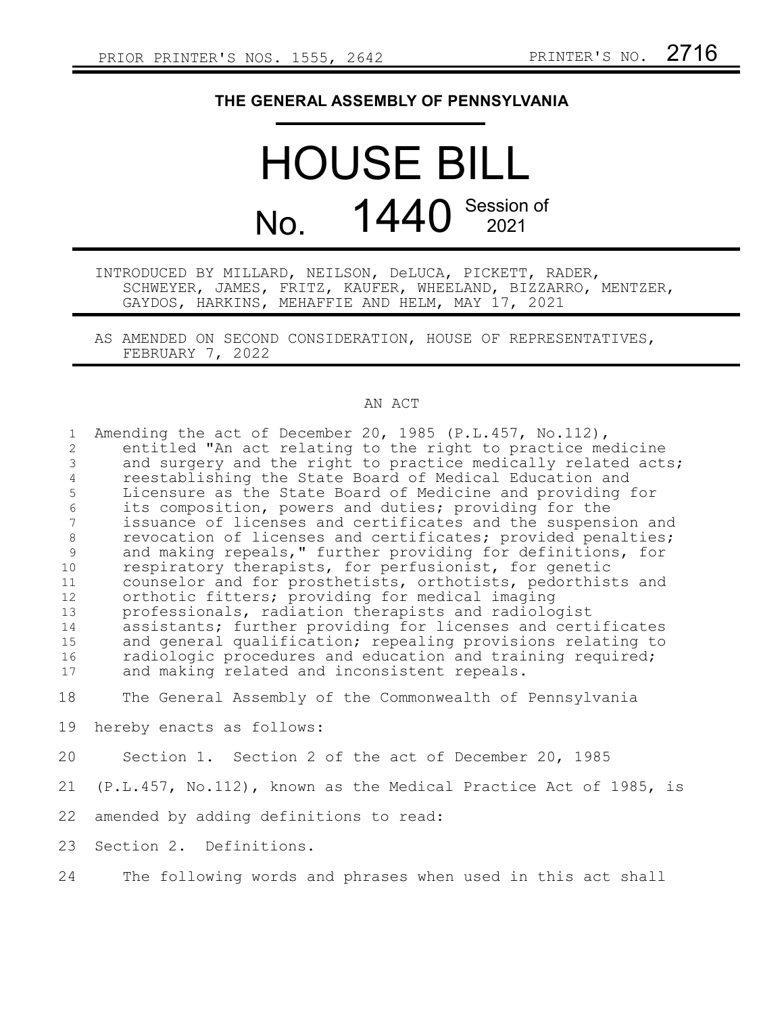## **THE GENERAL ASSEMBLY OF PENNSYLVANIA**

## HOUSE BILL No. 1440 Session of

INTRODUCED BY MILLARD, NEILSON, DeLUCA, PICKETT, RADER, SCHWEYER, JAMES, FRITZ, KAUFER, WHEELAND, BIZZARRO, MENTZER, GAYDOS, HARKINS, MEHAFFIE AND HELM, MAY 17, 2021

AS AMENDED ON SECOND CONSIDERATION, HOUSE OF REPRESENTATIVES, FEBRUARY 7, 2022

## AN ACT

| $\mathbf{1}$   | Amending the act of December 20, 1985 (P.L.457, No.112),            |
|----------------|---------------------------------------------------------------------|
| $\overline{c}$ | entitled "An act relating to the right to practice medicine         |
| $\mathfrak{Z}$ | and surgery and the right to practice medically related acts;       |
| $\overline{4}$ | reestablishing the State Board of Medical Education and             |
| 5              | Licensure as the State Board of Medicine and providing for          |
| $\epsilon$     | its composition, powers and duties; providing for the               |
| $\overline{7}$ | issuance of licenses and certificates and the suspension and        |
| 8              | revocation of licenses and certificates; provided penalties;        |
| 9              | and making repeals," further providing for definitions, for         |
| 10             | respiratory therapists, for perfusionist, for genetic               |
| 11             | counselor and for prosthetists, orthotists, pedorthists and         |
| 12             | orthotic fitters; providing for medical imaging                     |
| 13             | professionals, radiation therapists and radiologist                 |
| 14             | assistants; further providing for licenses and certificates         |
| 15             | and general qualification; repealing provisions relating to         |
| 16             | radiologic procedures and education and training required;          |
| 17             | and making related and inconsistent repeals.                        |
| 18             | The General Assembly of the Commonwealth of Pennsylvania            |
| 19             | hereby enacts as follows:                                           |
| 20             | Section 1. Section 2 of the act of December 20, 1985                |
| 21             | $(P.L.457, No.112)$ , known as the Medical Practice Act of 1985, is |
|                |                                                                     |
| 22             | amended by adding definitions to read:                              |
| 23             | Section 2. Definitions.                                             |
| 24             | The following words and phrases when used in this act shall         |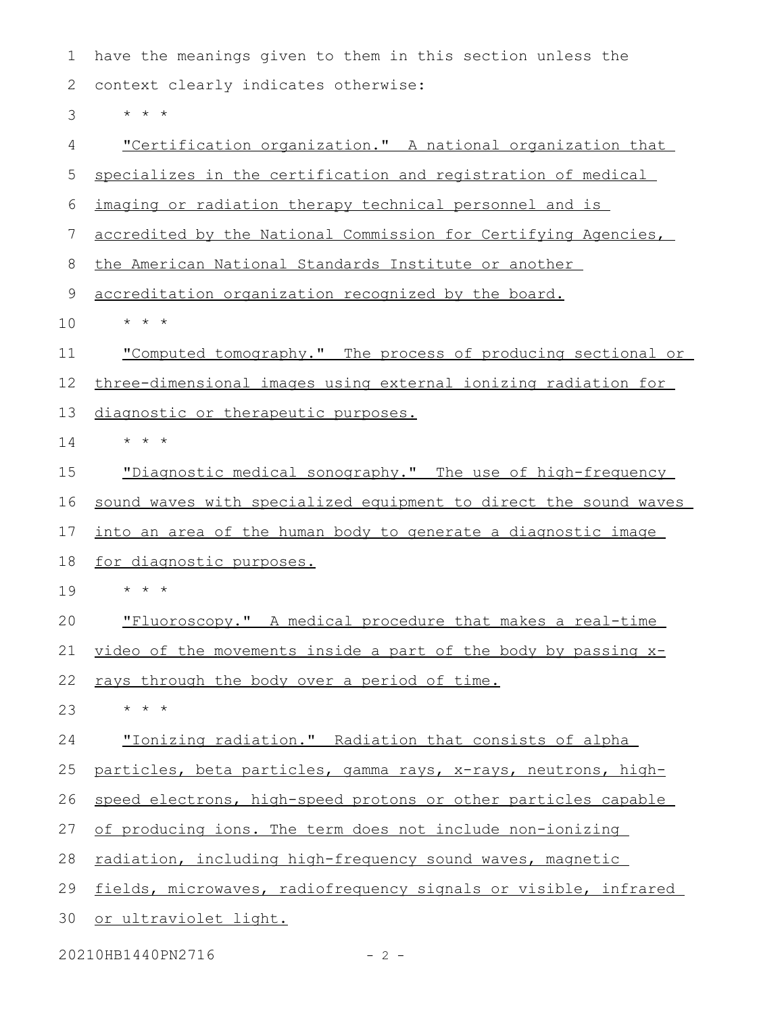have the meanings given to them in this section unless the context clearly indicates otherwise: \* \* \* "Certification organization." A national organization that specializes in the certification and registration of medical imaging or radiation therapy technical personnel and is accredited by the National Commission for Certifying Agencies, the American National Standards Institute or another accreditation organization recognized by the board. \* \* \* "Computed tomography." The process of producing sectional or three-dimensional images using external ionizing radiation for diagnostic or therapeutic purposes. \* \* \* "Diagnostic medical sonography." The use of high-frequency sound waves with specialized equipment to direct the sound waves into an area of the human body to generate a diagnostic image for diagnostic purposes. \* \* \* "Fluoroscopy." A medical procedure that makes a real-time video of the movements inside a part of the body by passing  $x$ rays through the body over a period of time. \* \* \* "Ionizing radiation." Radiation that consists of alpha particles, beta particles, gamma rays, x-rays, neutrons, highspeed electrons, high-speed protons or other particles capable of producing ions. The term does not include non-ionizing radiation, including high-frequency sound waves, magnetic fields, microwaves, radiofrequency signals or visible, infrared or ultraviolet light. 1 2 3 4 5 6 7 8 9 10 11 12 13 14 15 16 17 18 19 20 21 22 23 24 25 26 27 28 29 30

20210HB1440PN2716 - 2 -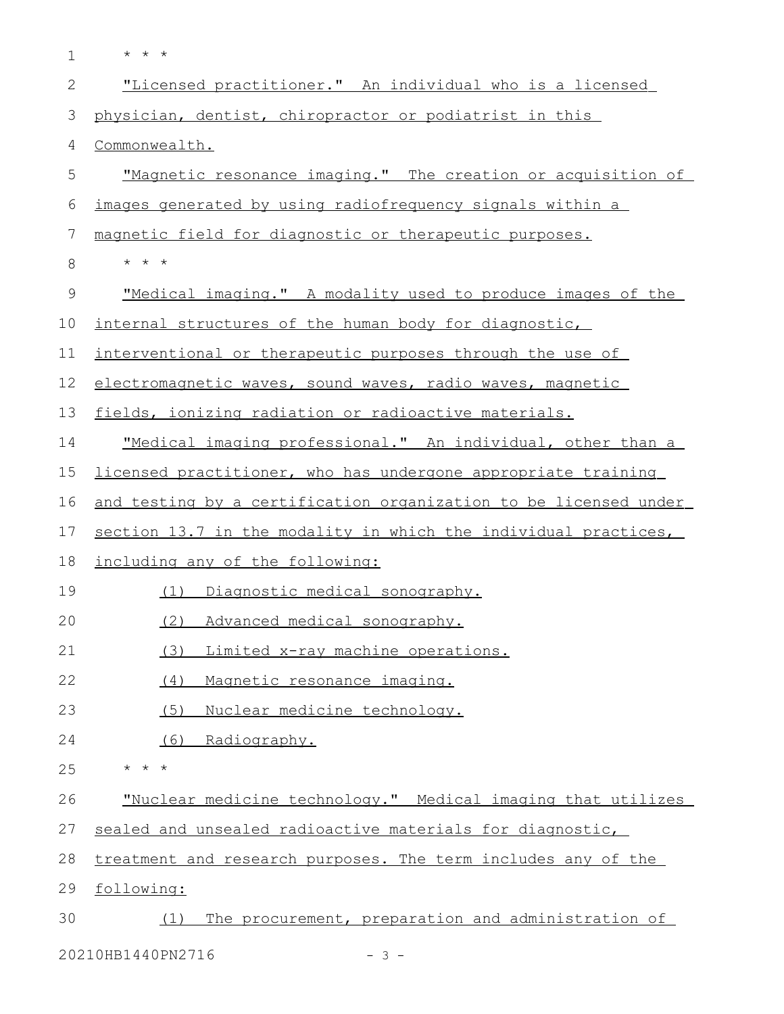| $\mathbf 1$ | $\star$ $\star$ $\star$                                          |
|-------------|------------------------------------------------------------------|
| 2           | "Licensed practitioner." An individual who is a licensed         |
| 3           | physician, dentist, chiropractor or podiatrist in this           |
| 4           | Commonwealth.                                                    |
| 5           | "Magnetic resonance imaging." The creation or acquisition of     |
| 6           | images generated by using radiofrequency signals within a        |
| 7           | magnetic field for diagnostic or therapeutic purposes.           |
| 8           | $\star$ $\star$ $\star$                                          |
| 9           | "Medical imaging." A modality used to produce images of the      |
| 10          | internal structures of the human body for diagnostic,            |
| 11          | interventional or therapeutic purposes through the use of        |
| 12          | electromagnetic waves, sound waves, radio waves, magnetic        |
| 13          | fields, ionizing radiation or radioactive materials.             |
| 14          | "Medical imaging professional." An individual, other than a      |
| 15          | licensed practitioner, who has undergone appropriate training    |
| 16          | and testing by a certification organization to be licensed under |
| 17          | section 13.7 in the modality in which the individual practices,  |
| 18          | including any of the following:                                  |
| 19          | (1) Diagnostic medical sonography.                               |
| 20          | (2) Advanced medical sonography.                                 |
| 21          | (3)<br>Limited x-ray machine operations.                         |
| 22          | Magnetic resonance imaging.<br>(4)                               |
| 23          | (5)<br>Nuclear medicine technology.                              |
| 24          | Radiography.<br>(6)                                              |
| 25          | $\star$ $\star$ $\star$                                          |
| 26          | "Nuclear medicine technology." Medical imaging that utilizes     |
| 27          | sealed and unsealed radioactive materials for diagnostic,        |
| 28          | treatment and research purposes. The term includes any of the    |
| 29          | following:                                                       |
| 30          | The procurement, preparation and administration of<br>(1)        |
|             | 20210HB1440PN2716<br>$-3-$                                       |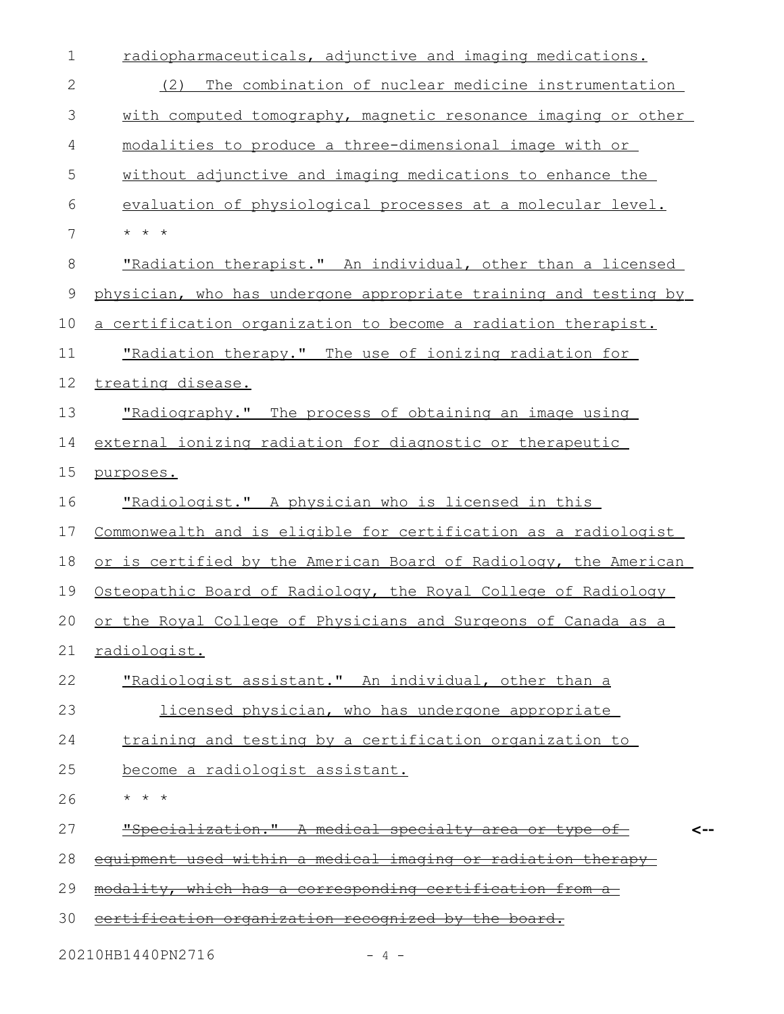| $\mathbf 1$  | radiopharmaceuticals, adjunctive and imaging medications.         |
|--------------|-------------------------------------------------------------------|
| $\mathbf{2}$ | The combination of nuclear medicine instrumentation<br>(2)        |
| 3            | with computed tomography, magnetic resonance imaging or other     |
| 4            | modalities to produce a three-dimensional image with or           |
| 5            | without adjunctive and imaging medications to enhance the         |
| 6            | evaluation of physiological processes at a molecular level.       |
| 7            | $\star$ $\star$ $\star$                                           |
| 8            | "Radiation therapist." An individual, other than a licensed       |
| 9            | physician, who has undergone appropriate training and testing by  |
| 10           | a certification organization to become a radiation therapist.     |
| 11           | "Radiation therapy." The use of ionizing radiation for            |
| 12           | treating disease.                                                 |
| 13           | "Radiography." The process of obtaining an image using            |
| 14           | external ionizing radiation for diagnostic or therapeutic         |
| 15           | purposes.                                                         |
| 16           | "Radiologist." A physician who is licensed in this                |
| 17           | Commonwealth and is eligible for certification as a radiologist   |
| 18           | or is certified by the American Board of Radiology, the American  |
| 19           | Osteopathic Board of Radiology, the Royal College of Radiology    |
|              | 20 or the Royal College of Physicians and Surgeons of Canada as a |
| 21           | radiologist.                                                      |
| 22           | "Radiologist assistant." An individual, other than a              |
| 23           | licensed physician, who has undergone appropriate                 |
| 24           | training and testing by a certification organization to           |
| 25           | become a radiologist assistant.                                   |
| 26           | $\star$ $\star$ $\star$                                           |
| 27           | "Specialization." A medical specialty area or type of             |
| 28           | equipment used within a medical imaging or radiation therapy      |
| 29           | modality, which has a corresponding certification from a          |
| 30           | <u>certification organization recognized by the board.</u>        |
|              | 20210HB1440PN2716<br>$-4$ -                                       |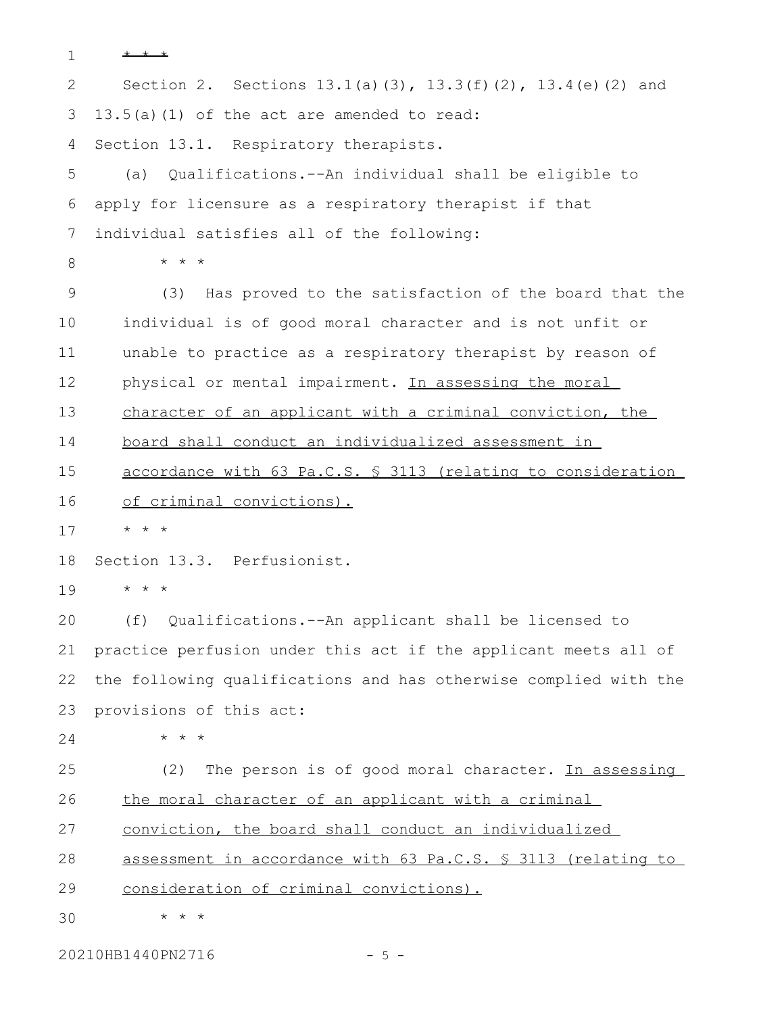```
* * *
       Section 2. Sections 13.1(a)(3), 13.3(f)(2), 13.4(e)(2) and
    13.5(a)(1) of the act are amended to read:
    Section 13.1. Respiratory therapists.
       (a) Qualifications.--An individual shall be eligible to
    apply for licensure as a respiratory therapist if that
    individual satisfies all of the following:
           * * *
           (3) Has proved to the satisfaction of the board that the
       individual is of good moral character and is not unfit or
       unable to practice as a respiratory therapist by reason of
       physical or mental impairment. In assessing the moral
       character of an applicant with a criminal conviction, the
       board shall conduct an individualized assessment in
        accordance with 63 Pa.C.S. § 3113 (relating to consideration
       of criminal convictions).
       * * *
    Section 13.3. Perfusionist.
       * * *
       (f) Qualifications.--An applicant shall be licensed to
   practice perfusion under this act if the applicant meets all of
    the following qualifications and has otherwise complied with the
    provisions of this act:
           * * *
           (2) The person is of good moral character. In assessing
       the moral character of an applicant with a criminal
       conviction, the board shall conduct an individualized
        assessment in accordance with 63 Pa.C.S. § 3113 (relating to
       consideration of criminal convictions).
           * * *
 1
 2
 3
 4
 5
 6
7
 8
 9
10
11
12
13
14
15
16
17
18
19
20
21
22
23
24
25
26
27
28
29
30
```
20210HB1440PN2716 - 5 -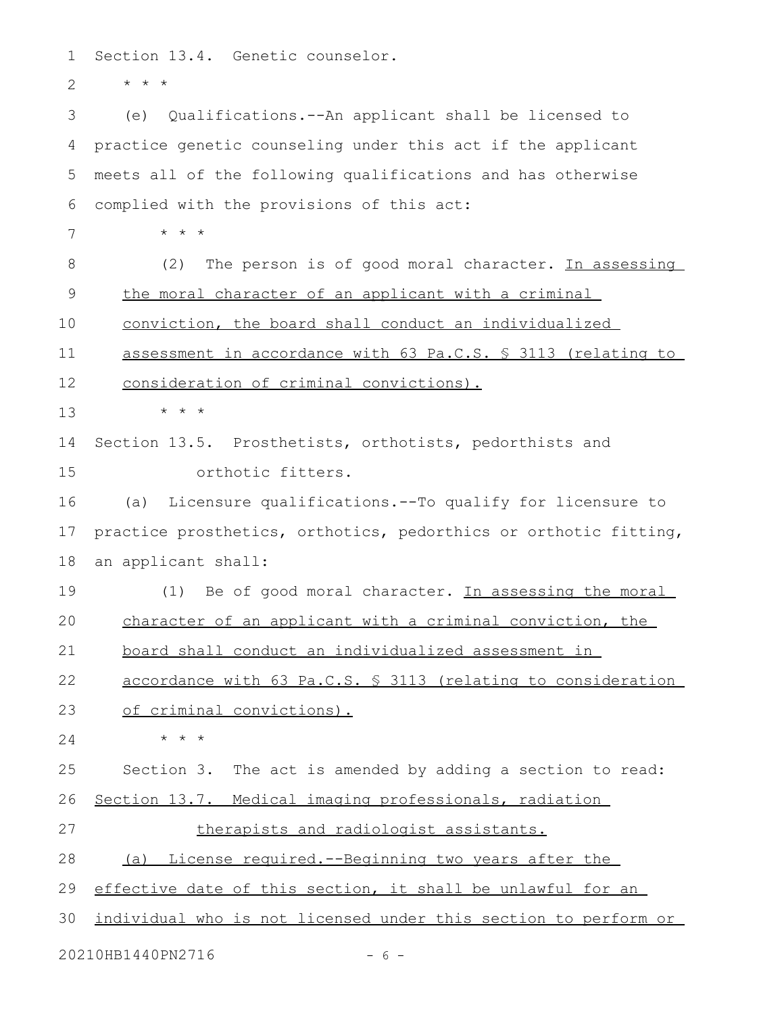Section 13.4. Genetic counselor. 1

\* \* \* 2

(e) Qualifications.--An applicant shall be licensed to practice genetic counseling under this act if the applicant meets all of the following qualifications and has otherwise complied with the provisions of this act: \* \* \* (2) The person is of good moral character. In assessing the moral character of an applicant with a criminal conviction, the board shall conduct an individualized assessment in accordance with 63 Pa.C.S. § 3113 (relating to consideration of criminal convictions). \* \* \* Section 13.5. Prosthetists, orthotists, pedorthists and orthotic fitters. (a) Licensure qualifications.--To qualify for licensure to practice prosthetics, orthotics, pedorthics or orthotic fitting, an applicant shall: (1) Be of good moral character. In assessing the moral character of an applicant with a criminal conviction, the board shall conduct an individualized assessment in accordance with 63 Pa.C.S. § 3113 (relating to consideration of criminal convictions). \* \* \* Section 3. The act is amended by adding a section to read: Section 13.7. Medical imaging professionals, radiation therapists and radiologist assistants. (a) License required.--Beginning two years after the effective date of this section, it shall be unlawful for an individual who is not licensed under this section to perform or 20210HB1440PN2716 - 6 -3 4 5 6 7 8 9 10 11 12 13 14 15 16 17 18 19 20 21 22 23 24 25 26 27 28 29 30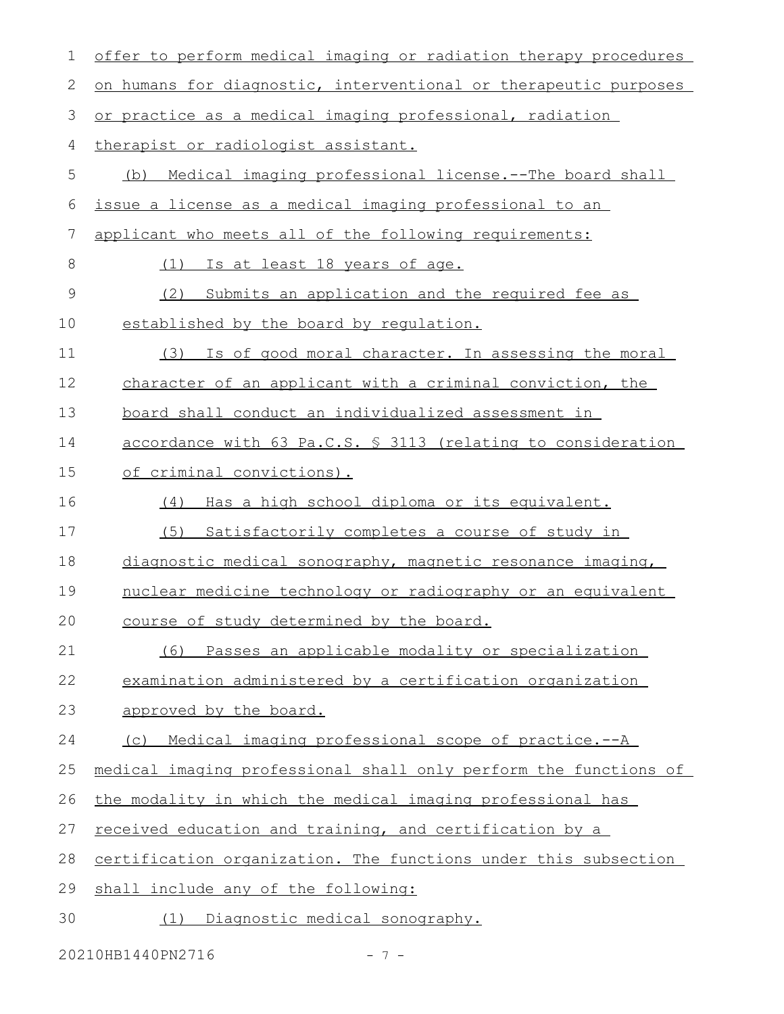| 1             | offer to perform medical imaging or radiation therapy procedures |
|---------------|------------------------------------------------------------------|
| 2             | on humans for diagnostic, interventional or therapeutic purposes |
| 3             | or practice as a medical imaging professional, radiation         |
| 4             | therapist or radiologist assistant.                              |
| 5             | Medical imaging professional license.--The board shall<br>(b)    |
| 6             | issue a license as a medical imaging professional to an          |
| 7             | applicant who meets all of the following requirements:           |
| $8\,$         | (1)<br><u>Is at least 18 years of age.</u>                       |
| $\mathcal{G}$ | (2)<br>Submits an application and the required fee as            |
| 10            | established by the board by requlation.                          |
| 11            | (3) Is of good moral character. In assessing the moral           |
| 12            | character of an applicant with a criminal conviction, the        |
| 13            | board shall conduct an individualized assessment in              |
| 14            | accordance with 63 Pa.C.S. § 3113 (relating to consideration     |
| 15            | of criminal convictions).                                        |
| 16            | Has a high school diploma or its equivalent.<br>(4)              |
| 17            | (5)<br>Satisfactorily completes a course of study in             |
| 18            | diagnostic medical sonography, magnetic resonance imaging,       |
| 19            | nuclear medicine technology or radiography or an equivalent      |
| 20            | course of study determined by the board.                         |
| 21            | Passes an applicable modality or specialization<br>(6)           |
| 22            | examination administered by a certification organization         |
| 23            | approved by the board.                                           |
| 24            | Medical imaging professional scope of practice.--A<br>(C)        |
| 25            | medical imaging professional shall only perform the functions of |
| 26            | the modality in which the medical imaging professional has       |
| 27            | received education and training, and certification by a          |
| 28            | certification organization. The functions under this subsection  |
| 29            | shall include any of the following:                              |
| 30            | Diagnostic medical sonography.<br>(1)                            |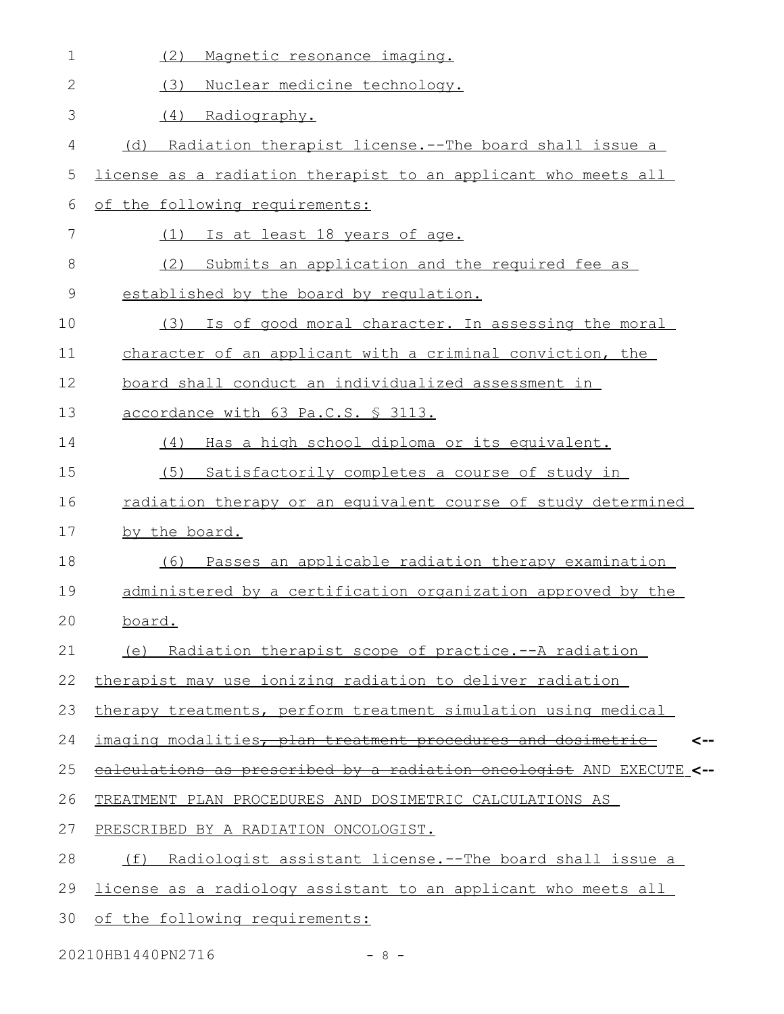| $\mathbf 1$  | (2)<br>Magnetic resonance imaging.                                    |
|--------------|-----------------------------------------------------------------------|
| $\mathbf{2}$ | Nuclear medicine technology.<br>(3)                                   |
| 3            | (4) Radiography.                                                      |
| 4            | Radiation therapist license.--The board shall issue a<br>(d)          |
| 5            | license as a radiation therapist to an applicant who meets all        |
| 6            | of the following requirements:                                        |
| 7            | (1) Is at least 18 years of age.                                      |
| 8            | Submits an application and the required fee as<br>(2)                 |
| $\mathsf 9$  | established by the board by requlation.                               |
| 10           | Is of good moral character. In assessing the moral<br>(3)             |
| 11           | character of an applicant with a criminal conviction, the             |
| 12           | board shall conduct an individualized assessment in                   |
| 13           | accordance with 63 Pa.C.S. § 3113.                                    |
| 14           | (4) Has a high school diploma or its equivalent.                      |
| 15           | (5) Satisfactorily completes a course of study in                     |
| 16           | radiation therapy or an equivalent course of study determined         |
| 17           | by the board.                                                         |
| 18           | (6) Passes an applicable radiation therapy examination                |
| 19           | administered by a certification organization approved by the          |
| 20           | board.                                                                |
| 21           | (e) Radiation therapist scope of practice.--A radiation               |
| 22           | therapist may use ionizing radiation to deliver radiation             |
| 23           | therapy treatments, perform treatment simulation using medical        |
| 24           | imaging modalities, plan treatment procedures and dosimetric<br><--   |
| 25           | ealculations as prescribed by a radiation oncologist AND EXECUTE <--  |
| 26           | TREATMENT PLAN PROCEDURES AND DOSIMETRIC CALCULATIONS AS              |
| 27           | PRESCRIBED BY A RADIATION ONCOLOGIST.                                 |
| 28           | (f)<br><u>Radiologist assistant license.--The board shall issue a</u> |
| 29           | license as a radiology assistant to an applicant who meets all        |
| 30           | of the following requirements:                                        |

20210HB1440PN2716 - 8 -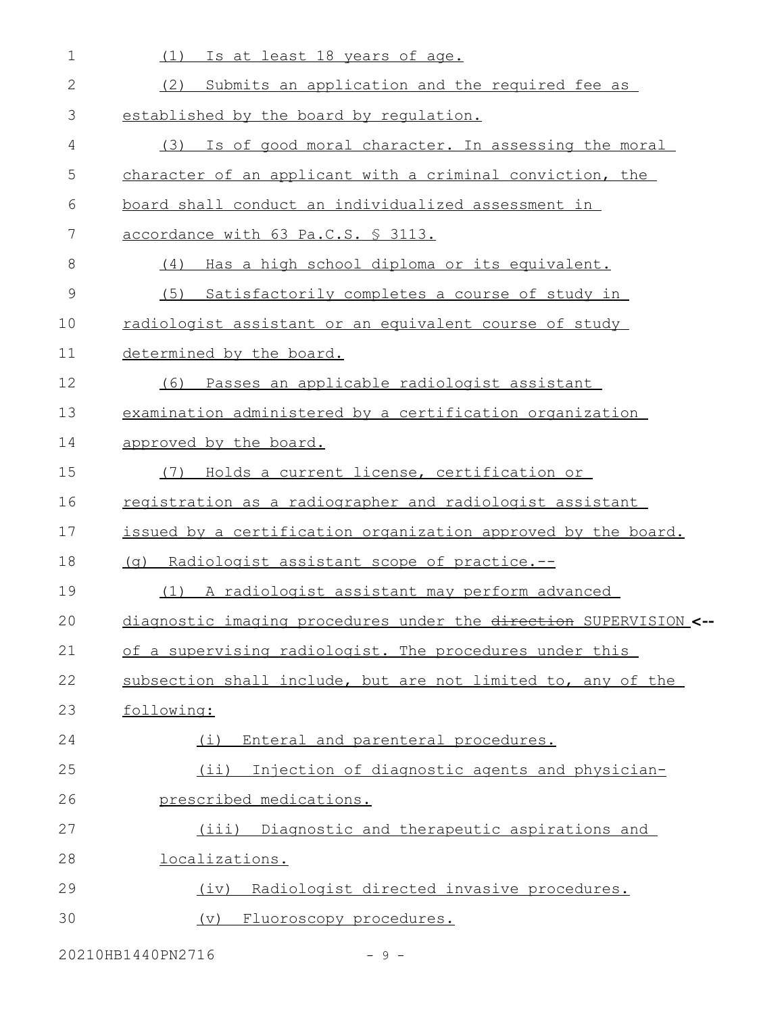| 1           | Is at least 18 years of age.<br>(1)                               |
|-------------|-------------------------------------------------------------------|
| 2           | Submits an application and the required fee as<br>(2)             |
| 3           | established by the board by requlation.                           |
| 4           | Is of good moral character. In assessing the moral<br>(3)         |
| 5           | character of an applicant with a criminal conviction, the         |
| 6           | board shall conduct an individualized assessment in               |
| 7           | accordance with 63 Pa.C.S. § 3113.                                |
| 8           | (4)<br>Has a high school diploma or its equivalent.               |
| $\mathsf 9$ | (5)<br>Satisfactorily completes a course of study in              |
| 10          | radiologist assistant or an equivalent course of study            |
| 11          | determined by the board.                                          |
| 12          | Passes an applicable radiologist assistant<br>(6)                 |
| 13          | examination administered by a certification organization          |
| 14          | approved by the board.                                            |
| 15          | Holds a current license, certification or<br>(7)                  |
| 16          | registration as a radiographer and radiologist assistant          |
| 17          | issued by a certification organization approved by the board.     |
| 18          | (g) Radiologist assistant scope of practice.--                    |
| 19          | A radiologist assistant may perform advanced<br>(1)               |
| 20          | diagnostic imaging procedures under the direction SUPERVISION <-- |
| 21          | of a supervising radiologist. The procedures under this           |
| 22          | subsection shall include, but are not limited to, any of the      |
| 23          | following:                                                        |
| 24          | Enteral and parenteral procedures.<br>(i)                         |
| 25          | (ii) Injection of diagnostic agents and physician-                |
| 26          | prescribed medications.                                           |
| 27          | (iii) Diagnostic and therapeutic aspirations and                  |
| 28          | <u>localizations.</u>                                             |
| 29          | Radiologist directed invasive procedures.<br>(iv)                 |
| 30          | (v) Fluoroscopy procedures.                                       |

20210HB1440PN2716 - 9 -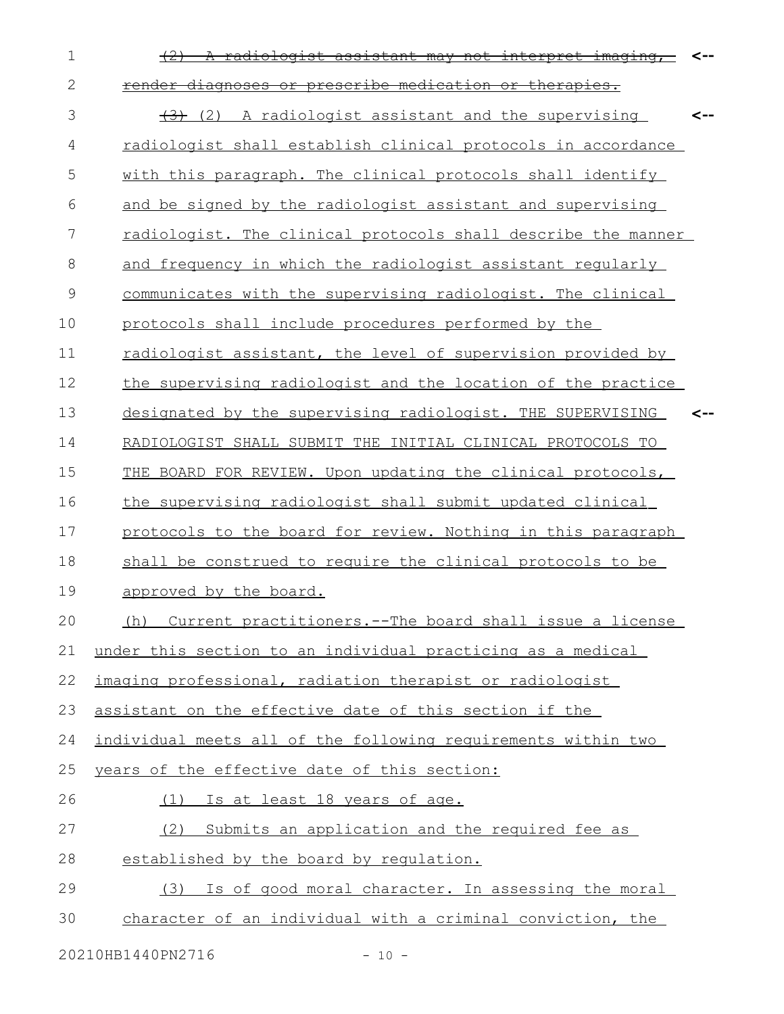| $\mathbf 1$    | A radiologist assistant may not interpret imaging,            |     |
|----------------|---------------------------------------------------------------|-----|
| $\mathbf{2}$   | render diagnoses or prescribe medication or therapies.        |     |
| 3              | (2) A radiologist assistant and the supervising               | <-- |
| 4              | radiologist shall establish clinical protocols in accordance  |     |
| 5              | with this paragraph. The clinical protocols shall identify    |     |
| 6              | and be signed by the radiologist assistant and supervising    |     |
| $\overline{7}$ | radiologist. The clinical protocols shall describe the manner |     |
| 8              | and frequency in which the radiologist assistant regularly    |     |
| 9              | communicates with the supervising radiologist. The clinical   |     |
| 10             | protocols shall include procedures performed by the           |     |
| 11             | radiologist assistant, the level of supervision provided by   |     |
| 12             | the supervising radiologist and the location of the practice  |     |
| 13             | designated by the supervising radiologist. THE SUPERVISING    |     |
| 14             | RADIOLOGIST SHALL SUBMIT THE INITIAL CLINICAL PROTOCOLS TO    |     |
| 15             | THE BOARD FOR REVIEW. Upon updating the clinical protocols,   |     |
| 16             | the supervising radiologist shall submit updated clinical     |     |
| 17             | protocols to the board for review. Nothing in this paragraph  |     |
| 18             | shall be construed to require the clinical protocols to be    |     |
| 19             | approved by the board.                                        |     |
| 20             | (h) Current practitioners.--The board shall issue a license   |     |
| 21             | under this section to an individual practicing as a medical   |     |
| 22             | imaging professional, radiation therapist or radiologist      |     |
| 23             | assistant on the effective date of this section if the        |     |
| 24             | individual meets all of the following requirements within two |     |
| 25             | years of the effective date of this section:                  |     |
| 26             | (1) Is at least 18 years of age.                              |     |
| 27             | (2)<br>Submits an application and the required fee as         |     |
| 28             | established by the board by regulation.                       |     |
| 29             | (3) Is of good moral character. In assessing the moral        |     |
| 30             | character of an individual with a criminal conviction, the    |     |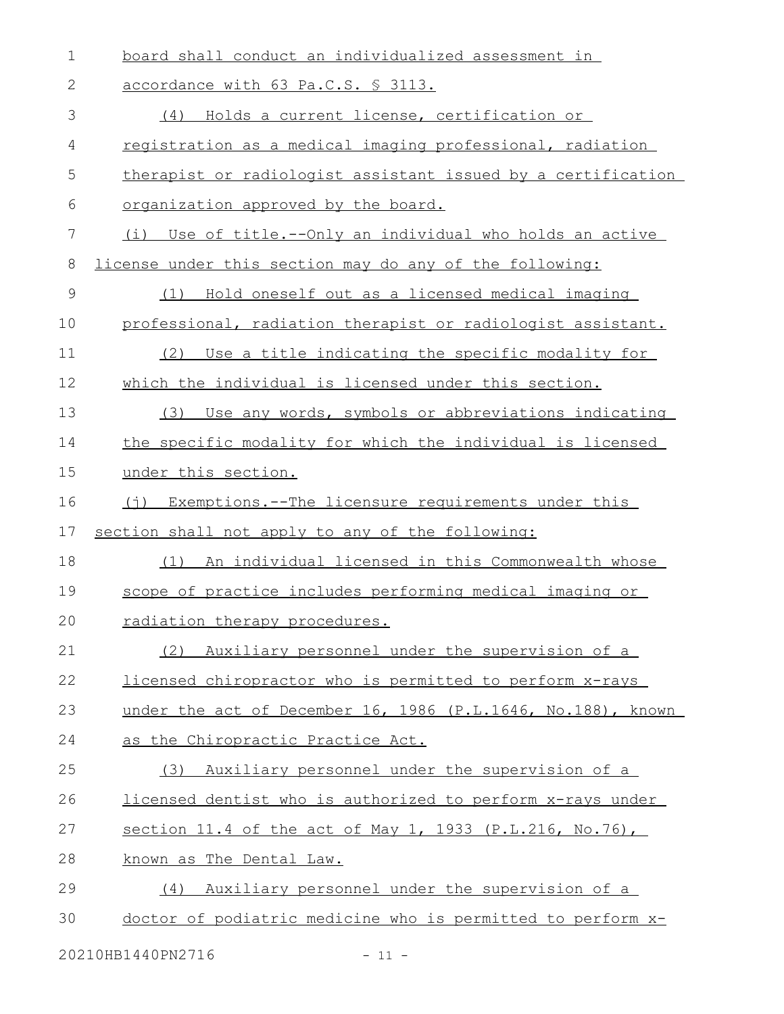| 1  | board shall conduct an individualized assessment in          |
|----|--------------------------------------------------------------|
| 2  | accordance with 63 Pa.C.S. § 3113.                           |
| 3  | (4) Holds a current license, certification or                |
| 4  | registration as a medical imaging professional, radiation    |
| 5  | therapist or radiologist assistant issued by a certification |
| 6  | organization approved by the board.                          |
| 7  | (i) Use of title.--Only an individual who holds an active    |
| 8  | license under this section may do any of the following:      |
| 9  | Hold oneself out as a licensed medical imaging<br>(1)        |
| 10 | professional, radiation therapist or radiologist assistant.  |
| 11 | Use a title indicating the specific modality for<br>(2)      |
| 12 | which the individual is licensed under this section.         |
| 13 | Use any words, symbols or abbreviations indicating<br>(3)    |
| 14 | the specific modality for which the individual is licensed   |
| 15 | under this section.                                          |
| 16 | (j) Exemptions.--The licensure requirements under this       |
| 17 | section shall not apply to any of the following:             |
| 18 | (1) An individual licensed in this Commonwealth whose        |
| 19 | scope of practice includes performing medical imaging or     |
| 20 | radiation therapy procedures.                                |
| 21 | Auxiliary personnel under the supervision of a<br>(2)        |
| 22 | licensed chiropractor who is permitted to perform x-rays     |
| 23 | under the act of December 16, 1986 (P.L.1646, No.188), known |
| 24 | as the Chiropractic Practice Act.                            |
| 25 | Auxiliary personnel under the supervision of a<br>(3)        |
| 26 | licensed dentist who is authorized to perform x-rays under   |
| 27 | section 11.4 of the act of May 1, 1933 (P.L.216, No.76),     |
| 28 | known as The Dental Law.                                     |
| 29 | Auxiliary personnel under the supervision of a<br>(4)        |
| 30 | doctor of podiatric medicine who is permitted to perform x-  |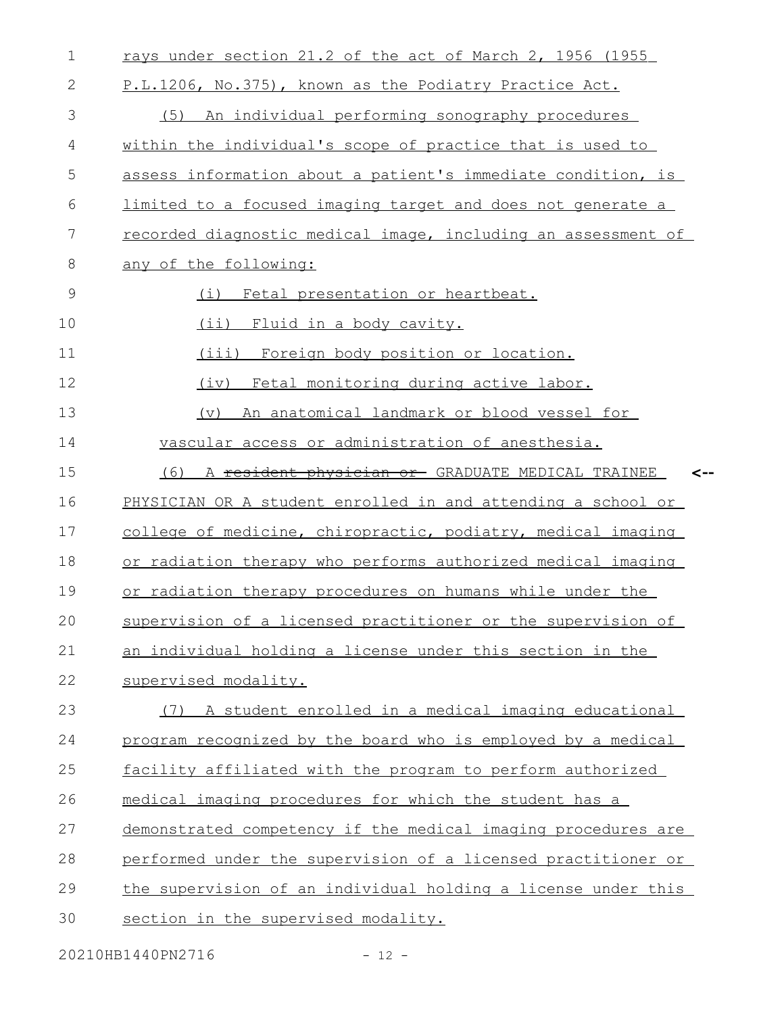| $\mathbf 1$  | rays under section 21.2 of the act of March 2, 1956 (1955          |
|--------------|--------------------------------------------------------------------|
| $\mathbf{2}$ | P.L.1206, No.375), known as the Podiatry Practice Act.             |
| 3            | (5) An individual performing sonography procedures                 |
| 4            | within the individual's scope of practice that is used to          |
| 5            | assess information about a patient's immediate condition, is       |
| 6            | limited to a focused imaging target and does not generate a        |
| 7            | recorded diagnostic medical image, including an assessment of      |
| 8            | any of the following:                                              |
| 9            | (i)<br>Fetal presentation or heartbeat.                            |
| 10           | (i)<br>Fluid in a body cavity.                                     |
| 11           | (iii) Foreign body position or location.                           |
| 12           | Fetal monitoring during active labor.<br>(iv)                      |
| 13           | An anatomical landmark or blood vessel for<br>(v)                  |
| 14           | vascular access or administration of anesthesia.                   |
| 15           | A <del>resident physician or</del> GRADUATE MEDICAL TRAINEE<br>(6) |
| 16           | PHYSICIAN OR A student enrolled in and attending a school or       |
| 17           | college of medicine, chiropractic, podiatry, medical imaging       |
| 18           | or radiation therapy who performs authorized medical imaging       |
| 19           | or radiation therapy procedures on humans while under the          |
| 20           | supervision of a licensed practitioner or the supervision of       |
| 21           | an individual holding a license under this section in the          |
| 22           | supervised modality.                                               |
| 23           | (7) A student enrolled in a medical imaging educational            |
| 24           | program recognized by the board who is employed by a medical       |
| 25           | facility affiliated with the program to perform authorized         |
| 26           | medical imaging procedures for which the student has a             |
| 27           | demonstrated competency if the medical imaging procedures are      |
| 28           | performed under the supervision of a licensed practitioner or      |
| 29           | the supervision of an individual holding a license under this      |
| 30           | section in the supervised modality.                                |
|              |                                                                    |

20210HB1440PN2716 - 12 -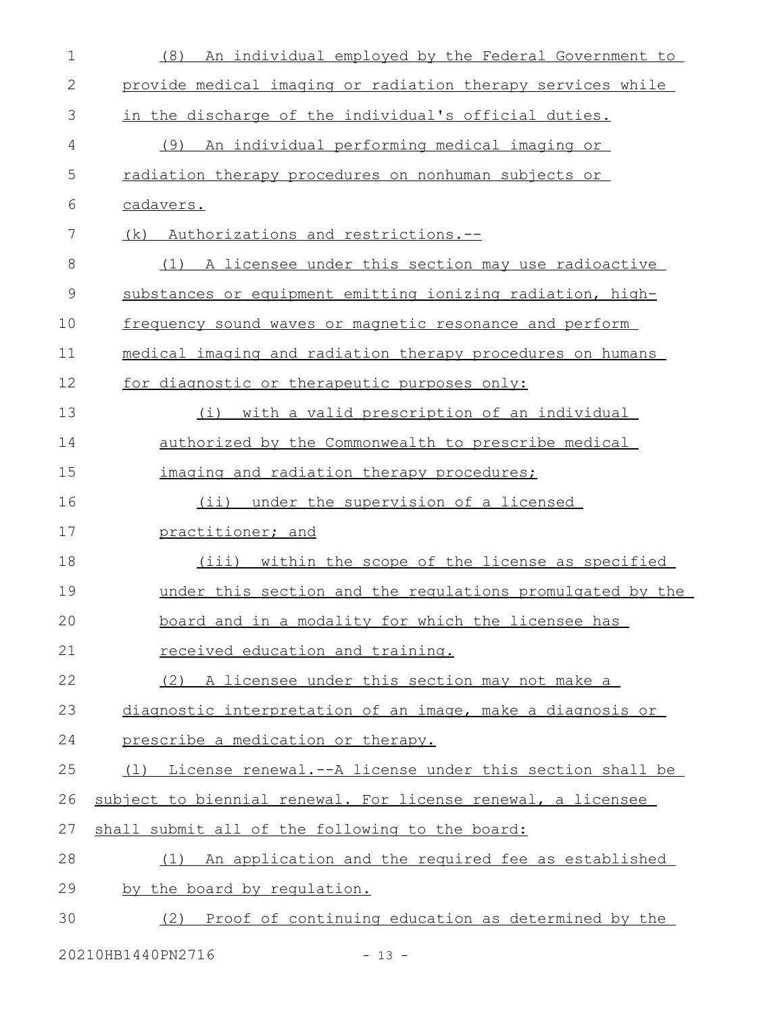| $\mathbf 1$   | An individual employed by the Federal Government to<br>(8)   |
|---------------|--------------------------------------------------------------|
| $\mathbf 2$   | provide medical imaging or radiation therapy services while  |
| 3             | in the discharge of the individual's official duties.        |
| 4             | An individual performing medical imaging or<br>(9)           |
| 5             | radiation therapy procedures on nonhuman subjects or         |
| 6             | cadavers.                                                    |
| 7             | Authorizations and restrictions.--<br>(k)                    |
| 8             | A licensee under this section may use radioactive<br>(1)     |
| $\mathcal{G}$ | substances or equipment emitting ionizing radiation, high-   |
| 10            | frequency sound waves or magnetic resonance and perform      |
| 11            | medical imaging and radiation therapy procedures on humans   |
| 12            | for diagnostic or therapeutic purposes only:                 |
| 13            | with a valid prescription of an individual<br>(i)            |
| 14            | authorized by the Commonwealth to prescribe medical          |
| 15            | imaging and radiation therapy procedures;                    |
| 16            | (ii) under the supervision of a licensed                     |
| 17            | practitioner; and                                            |
| 18            | (iii) within the scope of the license as specified           |
| 19            | under this section and the requlations promulgated by the    |
| 20            | board and in a modality for which the licensee has           |
| 21            | received education and training.                             |
| 22            | (2) A licensee under this section may not make a             |
| 23            | diagnostic interpretation of an image, make a diagnosis or   |
| 24            | prescribe a medication or therapy.                           |
| 25            | (1) License renewal.--A license under this section shall be  |
| 26            | subject to biennial renewal. For license renewal, a licensee |
| 27            | shall submit all of the following to the board:              |
| 28            | An application and the required fee as established<br>(1)    |
| 29            | by the board by requlation.                                  |
| 30            | Proof of continuing education as determined by the<br>(2)    |
|               |                                                              |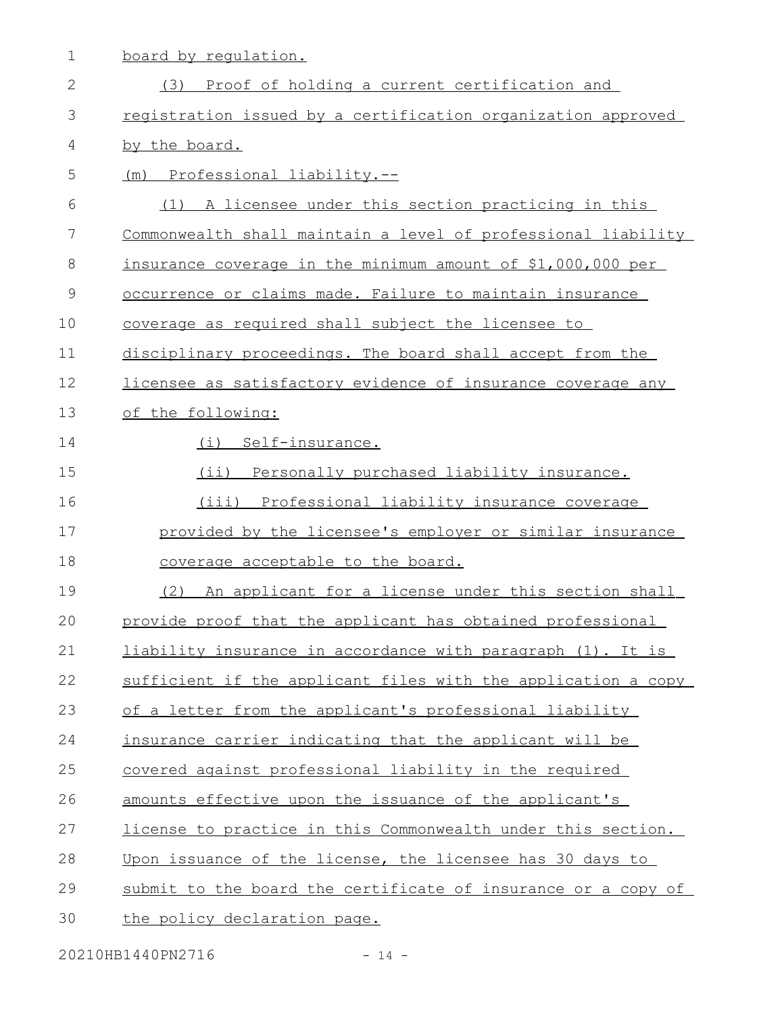1 board by regulation.

| $\mathbf{2}$ | (3) Proof of holding a current certification and              |
|--------------|---------------------------------------------------------------|
| 3            | registration issued by a certification organization approved  |
| 4            | by the board.                                                 |
| 5            | (m) Professional liability.--                                 |
| 6            | (1) A licensee under this section practicing in this          |
| 7            | Commonwealth shall maintain a level of professional liability |
| $8\,$        | insurance coverage in the minimum amount of \$1,000,000 per   |
| 9            | occurrence or claims made. Failure to maintain insurance      |
| 10           | coverage as required shall subject the licensee to            |
| 11           | disciplinary proceedings. The board shall accept from the     |
| 12           | licensee as satisfactory evidence of insurance coverage any   |
| 13           | of the following:                                             |
| 14           | (i) Self-insurance.                                           |
| 15           | (ii) Personally purchased liability insurance.                |
| 16           | (iii) Professional liability insurance coverage               |
| 17           | provided by the licensee's employer or similar insurance      |
| 18           | coverage acceptable to the board.                             |
| 19           | (2) An applicant for a license under this section shall       |
| 20           | provide proof that the applicant has obtained professional    |
| 21           | liability insurance in accordance with paragraph (1). It is   |
| 22           | sufficient if the applicant files with the application a copy |
| 23           | of a letter from the applicant's professional liability       |
| 24           | insurance carrier indicating that the applicant will be       |
| 25           | covered against professional liability in the required        |
| 26           | amounts effective upon the issuance of the applicant's        |
| 27           | license to practice in this Commonwealth under this section.  |
| 28           | Upon issuance of the license, the licensee has 30 days to     |
| 29           | submit to the board the certificate of insurance or a copy of |
| 30           | the policy declaration page.                                  |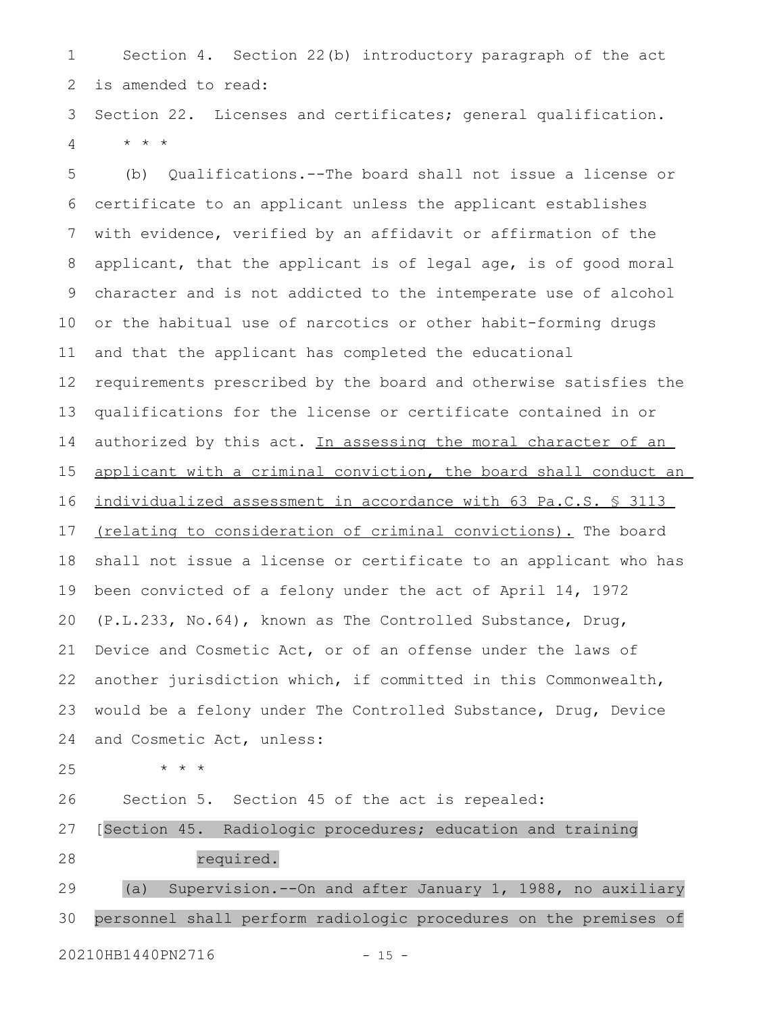Section 4. Section 22(b) introductory paragraph of the act is amended to read: 1 2

Section 22. Licenses and certificates; general qualification. \* \* \* 3 4

(b) Qualifications.--The board shall not issue a license or certificate to an applicant unless the applicant establishes with evidence, verified by an affidavit or affirmation of the applicant, that the applicant is of legal age, is of good moral character and is not addicted to the intemperate use of alcohol or the habitual use of narcotics or other habit-forming drugs and that the applicant has completed the educational requirements prescribed by the board and otherwise satisfies the qualifications for the license or certificate contained in or authorized by this act. In assessing the moral character of an applicant with a criminal conviction, the board shall conduct an individualized assessment in accordance with 63 Pa.C.S. § 3113 (relating to consideration of criminal convictions). The board shall not issue a license or certificate to an applicant who has been convicted of a felony under the act of April 14, 1972 (P.L.233, No.64), known as The Controlled Substance, Drug, Device and Cosmetic Act, or of an offense under the laws of another jurisdiction which, if committed in this Commonwealth, would be a felony under The Controlled Substance, Drug, Device and Cosmetic Act, unless: 5 6 7 8 9 10 11 12 13 14 15 16 17 18 19 20 21 22 23 24

25

Section 5. Section 45 of the act is repealed: 26

[Section 45. Radiologic procedures; education and training 27

28

required.

(a) Supervision.--On and after January 1, 1988, no auxiliary personnel shall perform radiologic procedures on the premises of 29 30

\* \* \*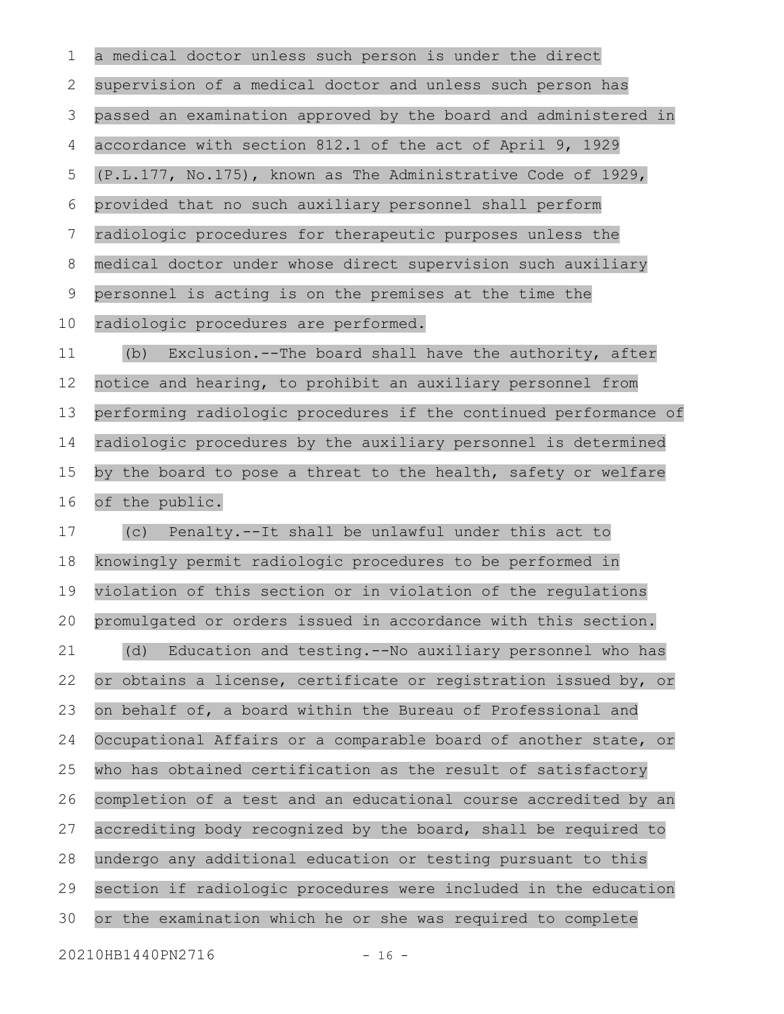a medical doctor unless such person is under the direct supervision of a medical doctor and unless such person has passed an examination approved by the board and administered in accordance with section 812.1 of the act of April 9, 1929 (P.L.177, No.175), known as The Administrative Code of 1929, provided that no such auxiliary personnel shall perform radiologic procedures for therapeutic purposes unless the medical doctor under whose direct supervision such auxiliary personnel is acting is on the premises at the time the radiologic procedures are performed. (b) Exclusion.--The board shall have the authority, after notice and hearing, to prohibit an auxiliary personnel from performing radiologic procedures if the continued performance of radiologic procedures by the auxiliary personnel is determined by the board to pose a threat to the health, safety or welfare of the public. (c) Penalty.--It shall be unlawful under this act to knowingly permit radiologic procedures to be performed in violation of this section or in violation of the regulations promulgated or orders issued in accordance with this section. (d) Education and testing.--No auxiliary personnel who has or obtains a license, certificate or registration issued by, or on behalf of, a board within the Bureau of Professional and Occupational Affairs or a comparable board of another state, or who has obtained certification as the result of satisfactory completion of a test and an educational course accredited by an accrediting body recognized by the board, shall be required to undergo any additional education or testing pursuant to this section if radiologic procedures were included in the education or the examination which he or she was required to complete 1 2 3 4 5 6 7 8 9 10 11 12 13 14 15 16 17 18 19 20 21 22 23 24 25 26 27 28 29 30

20210HB1440PN2716 - 16 -